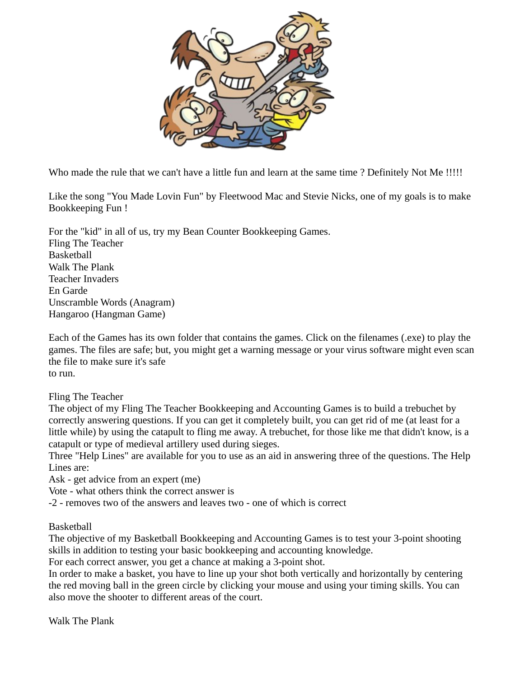

Who made the rule that we can't have a little fun and learn at the same time ? Definitely Not Me !!!!!

Like the song "You Made Lovin Fun" by Fleetwood Mac and Stevie Nicks, one of my goals is to make Bookkeeping Fun !

For the "kid" in all of us, try my Bean Counter Bookkeeping Games. Fling The Teacher **Basketball** Walk The Plank Teacher Invaders En Garde Unscramble Words (Anagram) Hangaroo (Hangman Game)

Each of the Games has its own folder that contains the games. Click on the filenames (.exe) to play the games. The files are safe; but, you might get a warning message or your virus software might even scan the file to make sure it's safe to run.

Fling The Teacher

The object of my Fling The Teacher Bookkeeping and Accounting Games is to build a trebuchet by correctly answering questions. If you can get it completely built, you can get rid of me (at least for a little while) by using the catapult to fling me away. A trebuchet, for those like me that didn't know, is a catapult or type of medieval artillery used during sieges.

Three "Help Lines" are available for you to use as an aid in answering three of the questions. The Help Lines are:

Ask - get advice from an expert (me)

Vote - what others think the correct answer is

-2 - removes two of the answers and leaves two - one of which is correct

Basketball

The objective of my Basketball Bookkeeping and Accounting Games is to test your 3-point shooting skills in addition to testing your basic bookkeeping and accounting knowledge.

For each correct answer, you get a chance at making a 3-point shot.

In order to make a basket, you have to line up your shot both vertically and horizontally by centering the red moving ball in the green circle by clicking your mouse and using your timing skills. You can also move the shooter to different areas of the court.

Walk The Plank